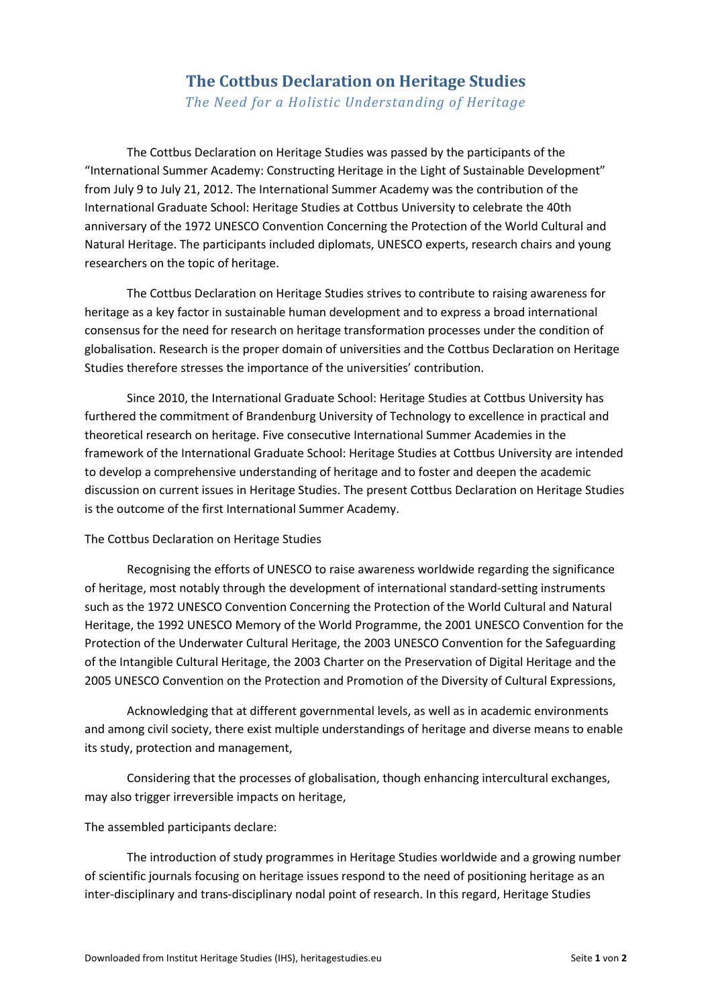## **The Cottbus Declaration on Heritage Studies**

*The Need for a Holistic Understanding of Heritage*

The Cottbus Declaration on Heritage Studies was passed by the participants of the "International Summer Academy: Constructing Heritage in the Light of Sustainable Development" from July 9 to July 21, 2012. The International Summer Academy was the contribution of the International Graduate School: Heritage Studies at Cottbus University to celebrate the 40th anniversary of the 1972 UNESCO Convention Concerning the Protection of the World Cultural and Natural Heritage. The participants included diplomats, UNESCO experts, research chairs and young researchers on the topic of heritage.

The Cottbus Declaration on Heritage Studies strives to contribute to raising awareness for heritage as a key factor in sustainable human development and to express a broad international consensus for the need for research on heritage transformation processes under the condition of globalisation. Research is the proper domain of universities and the Cottbus Declaration on Heritage Studies therefore stresses the importance of the universities' contribution.

Since 2010, the International Graduate School: Heritage Studies at Cottbus University has furthered the commitment of Brandenburg University of Technology to excellence in practical and theoretical research on heritage. Five consecutive International Summer Academies in the framework of the International Graduate School: Heritage Studies at Cottbus University are intended to develop a comprehensive understanding of heritage and to foster and deepen the academic discussion on current issues in Heritage Studies. The present Cottbus Declaration on Heritage Studies is the outcome of the first International Summer Academy.

## The Cottbus Declaration on Heritage Studies

Recognising the efforts of UNESCO to raise awareness worldwide regarding the significance of heritage, most notably through the development of international standard-setting instruments such as the 1972 UNESCO Convention Concerning the Protection of the World Cultural and Natural Heritage, the 1992 UNESCO Memory of the World Programme, the 2001 UNESCO Convention for the Protection of the Underwater Cultural Heritage, the 2003 UNESCO Convention for the Safeguarding of the Intangible Cultural Heritage, the 2003 Charter on the Preservation of Digital Heritage and the 2005 UNESCO Convention on the Protection and Promotion of the Diversity of Cultural Expressions,

Acknowledging that at different governmental levels, as well as in academic environments and among civil society, there exist multiple understandings of heritage and diverse means to enable its study, protection and management,

Considering that the processes of globalisation, though enhancing intercultural exchanges, may also trigger irreversible impacts on heritage,

## The assembled participants declare:

The introduction of study programmes in Heritage Studies worldwide and a growing number of scientific journals focusing on heritage issues respond to the need of positioning heritage as an inter-disciplinary and trans-disciplinary nodal point of research. In this regard, Heritage Studies